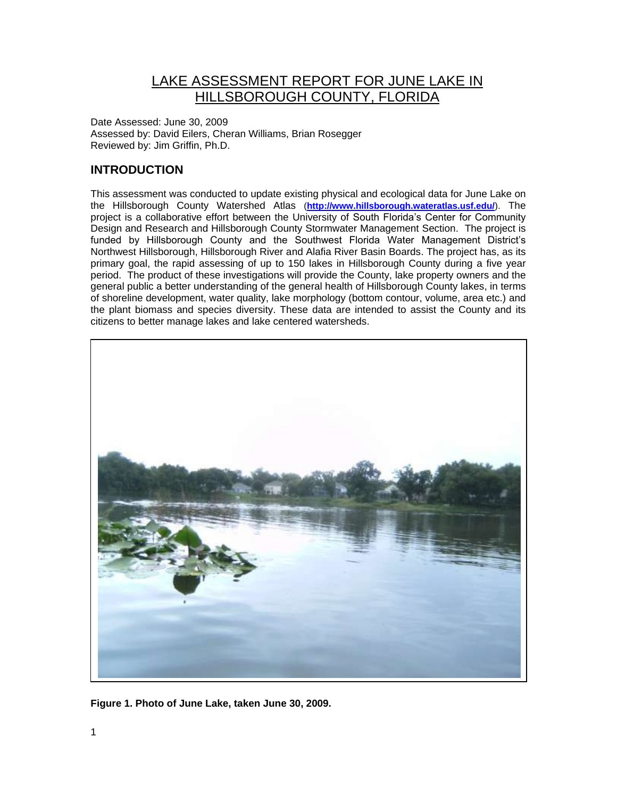## LAKE ASSESSMENT REPORT FOR JUNE LAKE IN HILLSBOROUGH COUNTY, FLORIDA

Date Assessed: June 30, 2009 Assessed by: David Eilers, Cheran Williams, Brian Rosegger Reviewed by: Jim Griffin, Ph.D.

## **INTRODUCTION**

This assessment was conducted to update existing physical and ecological data for June Lake on the Hillsborough County Watershed Atlas (**<http://www.hillsborough.wateratlas.usf.edu/>**). The project is a collaborative effort between the University of South Florida's Center for Community Design and Research and Hillsborough County Stormwater Management Section. The project is funded by Hillsborough County and the Southwest Florida Water Management District's Northwest Hillsborough, Hillsborough River and Alafia River Basin Boards. The project has, as its primary goal, the rapid assessing of up to 150 lakes in Hillsborough County during a five year period. The product of these investigations will provide the County, lake property owners and the general public a better understanding of the general health of Hillsborough County lakes, in terms of shoreline development, water quality, lake morphology (bottom contour, volume, area etc.) and the plant biomass and species diversity. These data are intended to assist the County and its citizens to better manage lakes and lake centered watersheds.



**Figure 1. Photo of June Lake, taken June 30, 2009.**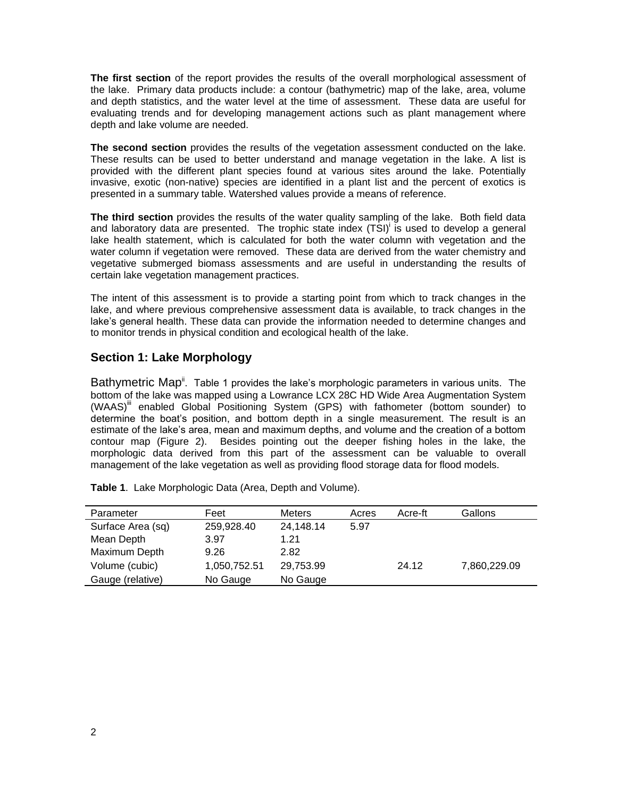**The first section** of the report provides the results of the overall morphological assessment of the lake. Primary data products include: a contour (bathymetric) map of the lake, area, volume and depth statistics, and the water level at the time of assessment. These data are useful for evaluating trends and for developing management actions such as plant management where depth and lake volume are needed.

**The second section** provides the results of the vegetation assessment conducted on the lake. These results can be used to better understand and manage vegetation in the lake. A list is provided with the different plant species found at various sites around the lake. Potentially invasive, exotic (non-native) species are identified in a plant list and the percent of exotics is presented in a summary table. Watershed values provide a means of reference.

**The third section** provides the results of the water quality sampling of the lake. Both field data and laboratory data are presented. The trophic state index (TSI)<sup>i</sup> is used to develop a general lake health statement, which is calculated for both the water column with vegetation and the water column if vegetation were removed. These data are derived from the water chemistry and vegetative submerged biomass assessments and are useful in understanding the results of certain lake vegetation management practices.

The intent of this assessment is to provide a starting point from which to track changes in the lake, and where previous comprehensive assessment data is available, to track changes in the lake's general health. These data can provide the information needed to determine changes and to monitor trends in physical condition and ecological health of the lake.

### **Section 1: Lake Morphology**

Bathymetric Map<sup>ii</sup>. Table 1 provides the lake's morphologic parameters in various units. The bottom of the lake was mapped using a Lowrance LCX 28C HD Wide Area Augmentation System (WAAS)<sup>III</sup> enabled Global Positioning System (GPS) with fathometer (bottom sounder) to determine the boat's position, and bottom depth in a single measurement. The result is an estimate of the lake's area, mean and maximum depths, and volume and the creation of a bottom contour map (Figure 2). Besides pointing out the deeper fishing holes in the lake, the morphologic data derived from this part of the assessment can be valuable to overall management of the lake vegetation as well as providing flood storage data for flood models.

| Parameter         | Feet         | <b>Meters</b> | Acres | Acre-ft | Gallons      |
|-------------------|--------------|---------------|-------|---------|--------------|
| Surface Area (sq) | 259,928.40   | 24,148.14     | 5.97  |         |              |
| Mean Depth        | 3.97         | 1.21          |       |         |              |
| Maximum Depth     | 9.26         | 2.82          |       |         |              |
| Volume (cubic)    | 1,050,752.51 | 29,753.99     |       | 24.12   | 7,860,229.09 |
| Gauge (relative)  | No Gauge     | No Gauge      |       |         |              |

**Table 1**. Lake Morphologic Data (Area, Depth and Volume).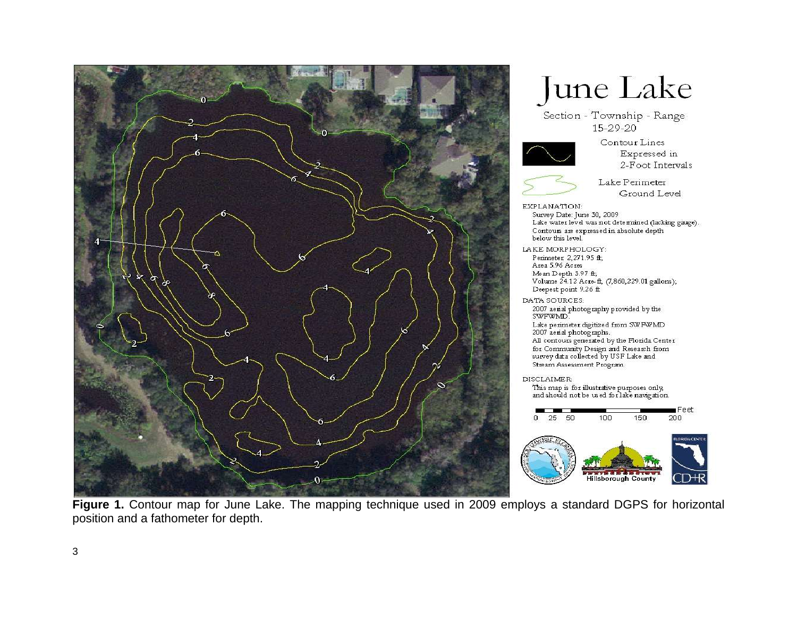

# **June Lake**

Section - Township - Range 15-29-20



Contour Lines Expressed in 2-Foot Intervals



- Lake Perimeter Ground Level
- EXPLANATION: Survey Date: June 30, 2009 Lake water level was not determined (lacking gauge). Contours are expressed in absolute depth below this level.
- LAKE MORPHOLOGY: Perimeter 2,271.95 ft; Area 5.96 Acres Mean Depth 3.97 ft; Volume 24.12 Acre ff, (7,860,229.01 gallons); Deepest point 9.26 ft
- DATA SOURCES: 2007 aerial photography provided by the<br>SWFWMD. Lake perimeter digitized from SWFWMD
- 2007 aerial photographs. All contours generated by the Florida Center for Community Design and Research from survey data collected by USF Lake and Stream Assessment Program.

**DISCLAIMER:** This map is for illustrative purposes only,<br>and should not be used for lake navigation.



**Figure 1.** Contour map for June Lake. The mapping technique used in 2009 employs a standard DGPS for horizontal position and a fathometer for depth.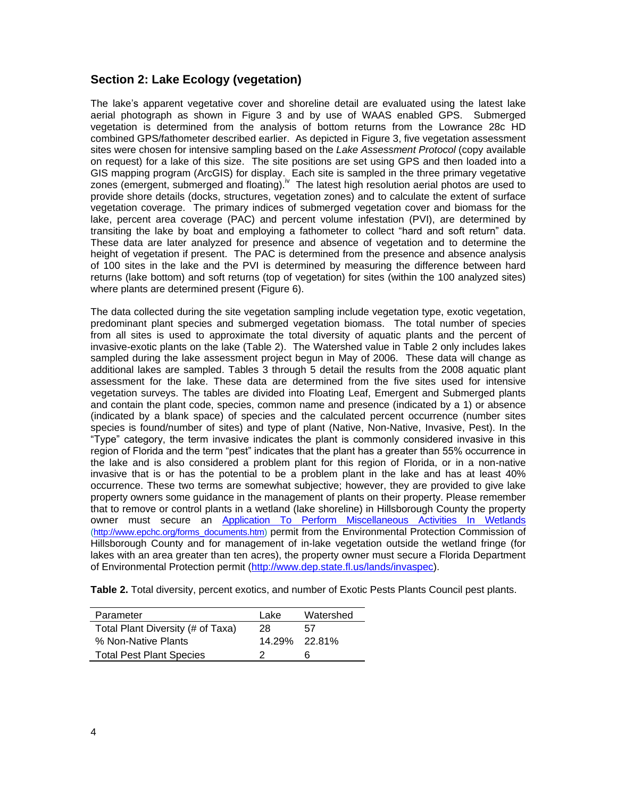#### **Section 2: Lake Ecology (vegetation)**

The lake's apparent vegetative cover and shoreline detail are evaluated using the latest lake aerial photograph as shown in Figure 3 and by use of WAAS enabled GPS. Submerged vegetation is determined from the analysis of bottom returns from the Lowrance 28c HD combined GPS/fathometer described earlier. As depicted in Figure 3, five vegetation assessment sites were chosen for intensive sampling based on the *Lake Assessment Protocol* (copy available on request) for a lake of this size. The site positions are set using GPS and then loaded into a GIS mapping program (ArcGIS) for display. Each site is sampled in the three primary vegetative zones (emergent, submerged and floating). <sup>Iv</sup> The latest high resolution aerial photos are used to provide shore details (docks, structures, vegetation zones) and to calculate the extent of surface vegetation coverage. The primary indices of submerged vegetation cover and biomass for the lake, percent area coverage (PAC) and percent volume infestation (PVI), are determined by transiting the lake by boat and employing a fathometer to collect "hard and soft return" data. These data are later analyzed for presence and absence of vegetation and to determine the height of vegetation if present. The PAC is determined from the presence and absence analysis of 100 sites in the lake and the PVI is determined by measuring the difference between hard returns (lake bottom) and soft returns (top of vegetation) for sites (within the 100 analyzed sites) where plants are determined present (Figure 6).

The data collected during the site vegetation sampling include vegetation type, exotic vegetation, predominant plant species and submerged vegetation biomass. The total number of species from all sites is used to approximate the total diversity of aquatic plants and the percent of invasive-exotic plants on the lake (Table 2). The Watershed value in Table 2 only includes lakes sampled during the lake assessment project begun in May of 2006. These data will change as additional lakes are sampled. Tables 3 through 5 detail the results from the 2008 aquatic plant assessment for the lake. These data are determined from the five sites used for intensive vegetation surveys. The tables are divided into Floating Leaf, Emergent and Submerged plants and contain the plant code, species, common name and presence (indicated by a 1) or absence (indicated by a blank space) of species and the calculated percent occurrence (number sites species is found/number of sites) and type of plant (Native, Non-Native, Invasive, Pest). In the "Type" category, the term invasive indicates the plant is commonly considered invasive in this region of Florida and the term "pest" indicates that the plant has a greater than 55% occurrence in the lake and is also considered a problem plant for this region of Florida, or in a non-native invasive that is or has the potential to be a problem plant in the lake and has at least 40% occurrence. These two terms are somewhat subjective; however, they are provided to give lake property owners some guidance in the management of plants on their property. Please remember that to remove or control plants in a wetland (lake shoreline) in Hillsborough County the property owner must secure an [Application To Perform Miscellaneous Activities In Wetlands](http://www.epchc.org/PDF%20Wetlands%20Forms/MAIW%20application%20for%20all%20types%20of%20impacts%20VIP%20-%20July%202006.pdf) [\(http://www.epchc.org/forms\\_documents.htm\)](http://www.epchc.org/forms_documents.htm) permit from the Environmental Protection Commission of Hillsborough County and for management of in-lake vegetation outside the wetland fringe (for lakes with an area greater than ten acres), the property owner must secure a Florida Department of Environmental Protection permit [\(http://www.dep.state.fl.us/lands/invaspec\)](http://www.dep.state.fl.us/lands/invaspec/).

**Table 2.** Total diversity, percent exotics, and number of Exotic Pests Plants Council pest plants.

| Parameter                         | Lake | Watershed     |
|-----------------------------------|------|---------------|
| Total Plant Diversity (# of Taxa) | 28   | 57            |
| % Non-Native Plants               |      | 14.29% 22.81% |
| <b>Total Pest Plant Species</b>   |      | ห             |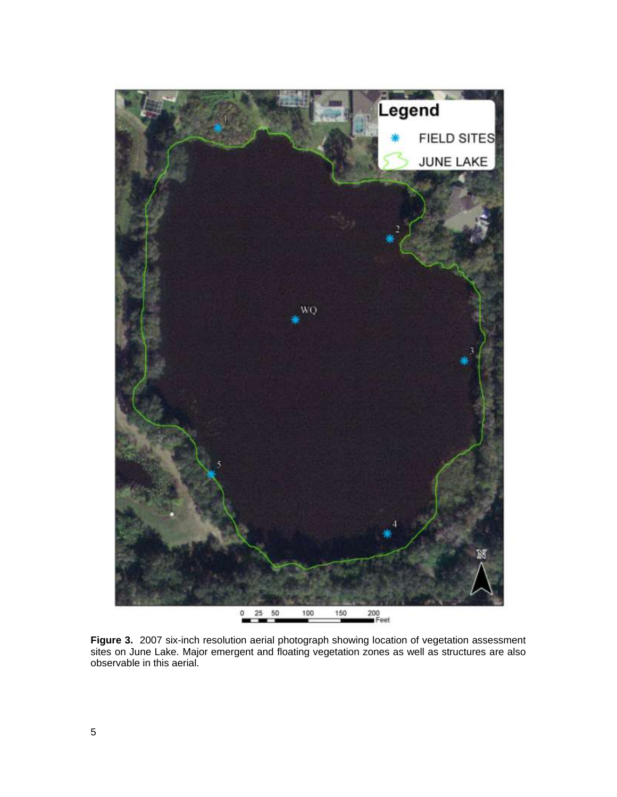

**Figure 3.** 2007 six-inch resolution aerial photograph showing location of vegetation assessment sites on June Lake. Major emergent and floating vegetation zones as well as structures are also observable in this aerial.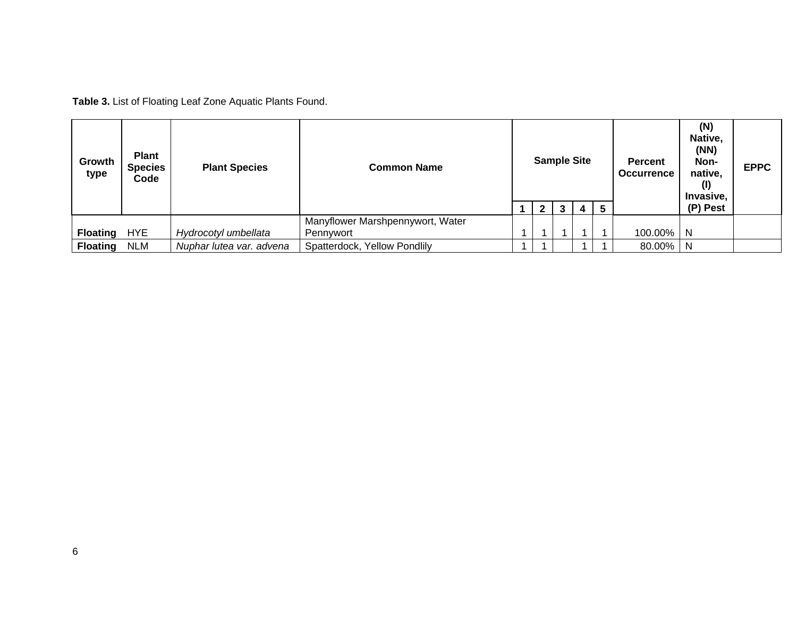**Table 3.** List of Floating Leaf Zone Aquatic Plants Found.

| Growth<br>type  | <b>Plant</b><br><b>Species</b><br>Code | <b>Plant Species</b>     | <b>Common Name</b>               |  | <b>Sample Site</b> |   |                |                 | <b>Percent</b><br><b>Occurrence</b> | (N)<br>Native,<br>(NN)<br>Non-<br>native,<br>(I)<br>Invasive, | <b>EPPC</b> |
|-----------------|----------------------------------------|--------------------------|----------------------------------|--|--------------------|---|----------------|-----------------|-------------------------------------|---------------------------------------------------------------|-------------|
|                 |                                        |                          |                                  |  | 2 <sup>1</sup>     | 3 | 4 <sup>1</sup> | $5\phantom{.0}$ |                                     | (P) Pest                                                      |             |
|                 |                                        |                          | Manyflower Marshpennywort, Water |  |                    |   |                |                 |                                     |                                                               |             |
| <b>Floating</b> | <b>HYE</b>                             | Hydrocotyl umbellata     | Pennywort                        |  |                    |   |                |                 | 100.00%                             | N                                                             |             |
| <b>Floating</b> | <b>NLM</b>                             | Nuphar lutea var. advena | Spatterdock, Yellow Pondlily     |  |                    |   |                |                 | 80.00%                              | N                                                             |             |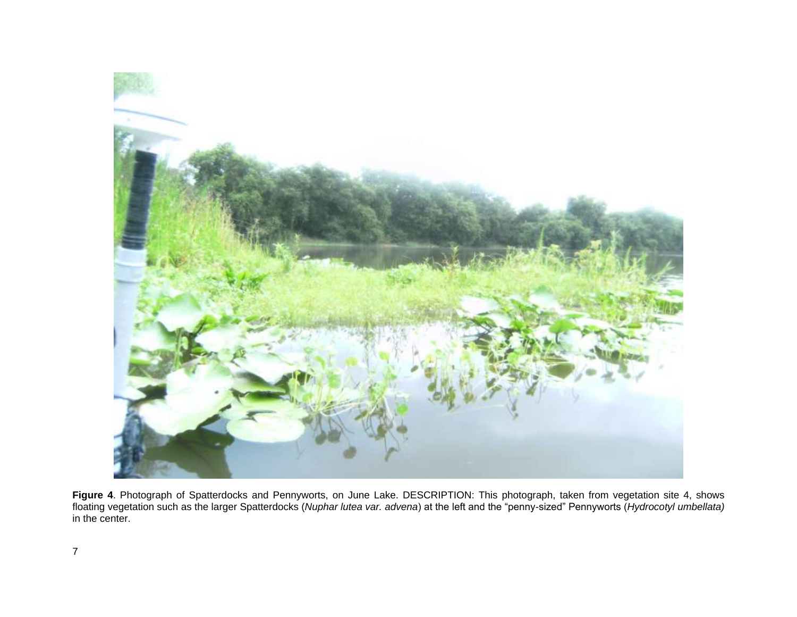

**Figure 4**. Photograph of Spatterdocks and Pennyworts, on June Lake. DESCRIPTION: This photograph, taken from vegetation site 4, shows floating vegetation such as the larger Spatterdocks (*Nuphar lutea var. advena*) at the left and the "penny-sized" Pennyworts (*Hydrocotyl umbellata)* in the center.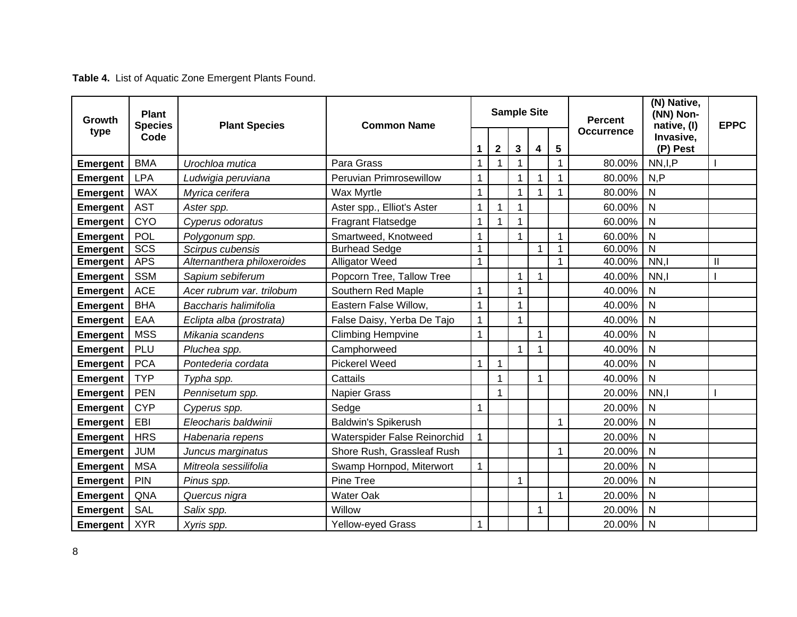## **Table 4.** List of Aquatic Zone Emergent Plants Found.

| <b>Plant</b><br>Growth<br><b>Species</b> |            | <b>Plant Species</b>        | <b>Common Name</b>           |              | <b>Sample Site</b> |   |              |   | <b>Percent</b>    | (N) Native,<br>(NN) Non-<br>native, (I) | <b>EPPC</b>  |
|------------------------------------------|------------|-----------------------------|------------------------------|--------------|--------------------|---|--------------|---|-------------------|-----------------------------------------|--------------|
| type                                     | Code       |                             |                              | 1            | $\mathbf 2$        | 3 | 4            | 5 | <b>Occurrence</b> | Invasive,<br>(P) Pest                   |              |
| <b>Emergent</b>                          | <b>BMA</b> | Urochloa mutica             | Para Grass                   | 1            |                    |   |              | 1 | 80.00%            | NN, I, P                                |              |
| <b>Emergent</b>                          | <b>LPA</b> | Ludwigia peruviana          | Peruvian Primrosewillow      | 1            |                    |   |              |   | 80.00%            | N, P                                    |              |
| <b>Emergent</b>                          | <b>WAX</b> | Myrica cerifera             | <b>Wax Myrtle</b>            | $\mathbf{1}$ |                    |   | 1            |   | 80.00%            | $\overline{N}$                          |              |
| <b>Emergent</b>                          | <b>AST</b> | Aster spp.                  | Aster spp., Elliot's Aster   | 1            |                    |   |              |   | 60.00%            | N                                       |              |
| <b>Emergent</b>                          | <b>CYO</b> | Cyperus odoratus            | <b>Fragrant Flatsedge</b>    | 1            |                    |   |              |   | 60.00%            | N                                       |              |
| <b>Emergent</b>                          | POL        | Polygonum spp.              | Smartweed, Knotweed          | 1            |                    |   |              | 1 | 60.00%            | $\mathsf{N}$                            |              |
| <b>Emergent</b>                          | SCS        | Scirpus cubensis            | <b>Burhead Sedge</b>         | $\mathbf{1}$ |                    |   | $\mathbf 1$  | 1 | 60.00%            | $\mathsf{N}$                            |              |
| <b>Emergent</b>                          | <b>APS</b> | Alternanthera philoxeroides | <b>Alligator Weed</b>        | $\mathbf{1}$ |                    |   |              | 1 | 40.00%            | NN,                                     | $\mathbf{I}$ |
| <b>Emergent</b>                          | <b>SSM</b> | Sapium sebiferum            | Popcorn Tree, Tallow Tree    |              |                    |   | 1            |   | 40.00%            | NN,I                                    |              |
| <b>Emergent</b>                          | <b>ACE</b> | Acer rubrum var. trilobum   | Southern Red Maple           | $\mathbf{1}$ |                    |   |              |   | 40.00%            | $\mathsf{N}$                            |              |
| <b>Emergent</b>                          | <b>BHA</b> | Baccharis halimifolia       | Eastern False Willow,        | $\mathbf{1}$ |                    |   |              |   | 40.00%            | $\mathsf{N}$                            |              |
| <b>Emergent</b>                          | EAA        | Eclipta alba (prostrata)    | False Daisy, Yerba De Tajo   | $\mathbf{1}$ |                    |   |              |   | 40.00%            | $\mathsf{N}$                            |              |
| <b>Emergent</b>                          | <b>MSS</b> | Mikania scandens            | <b>Climbing Hempvine</b>     | $\mathbf{1}$ |                    |   | $\mathbf 1$  |   | 40.00%            | N                                       |              |
| <b>Emergent</b>                          | PLU        | Pluchea spp.                | Camphorweed                  |              |                    |   | $\mathbf 1$  |   | 40.00%            | $\mathsf{N}$                            |              |
| <b>Emergent</b>                          | <b>PCA</b> | Pontederia cordata          | <b>Pickerel Weed</b>         | $\mathbf{1}$ |                    |   |              |   | 40.00%            | N                                       |              |
| <b>Emergent</b>                          | <b>TYP</b> | Typha spp.                  | Cattails                     |              | 1                  |   | $\mathbf{1}$ |   | 40.00%            | $\mathsf{N}$                            |              |
| <b>Emergent</b>                          | <b>PEN</b> | Pennisetum spp.             | Napier Grass                 |              |                    |   |              |   | 20.00%            | NN, I                                   |              |
| <b>Emergent</b>                          | <b>CYP</b> | Cyperus spp.                | Sedge                        | $\mathbf 1$  |                    |   |              |   | 20.00%            | $\mathsf{N}$                            |              |
| <b>Emergent</b>                          | EBI        | Eleocharis baldwinii        | <b>Baldwin's Spikerush</b>   |              |                    |   |              | 1 | 20.00%            | $\mathsf{N}$                            |              |
| <b>Emergent</b>                          | <b>HRS</b> | Habenaria repens            | Waterspider False Reinorchid | $\mathbf{1}$ |                    |   |              |   | 20.00%            | $\mathsf{N}$                            |              |
| <b>Emergent</b>                          | <b>JUM</b> | Juncus marginatus           | Shore Rush, Grassleaf Rush   |              |                    |   |              | 1 | 20.00%            | N                                       |              |
| <b>Emergent</b>                          | <b>MSA</b> | Mitreola sessilifolia       | Swamp Hornpod, Miterwort     | $\mathbf{1}$ |                    |   |              |   | 20.00%            | N                                       |              |
| <b>Emergent</b>                          | PIN        | Pinus spp.                  | Pine Tree                    |              |                    |   |              |   | 20.00%            | N                                       |              |
| <b>Emergent</b>                          | QNA        | Quercus nigra               | <b>Water Oak</b>             |              |                    |   |              | 1 | 20.00%            | N                                       |              |
| <b>Emergent</b>                          | SAL        | Salix spp.                  | Willow                       |              |                    |   | 1            |   | 20.00%            | N                                       |              |
| <b>Emergent</b>                          | <b>XYR</b> | Xyris spp.                  | <b>Yellow-eyed Grass</b>     | 1            |                    |   |              |   | 20.00%            | N                                       |              |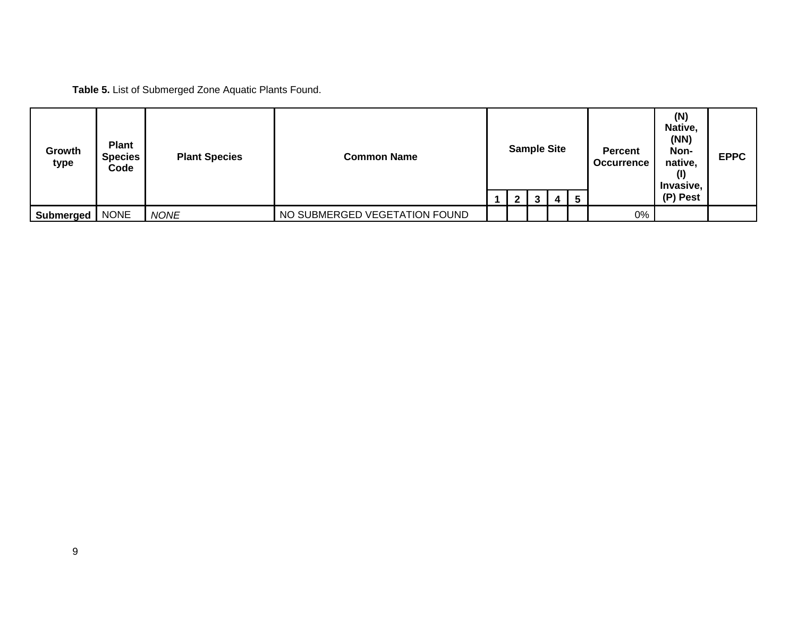**Table 5.** List of Submerged Zone Aquatic Plants Found.

| Growth<br>type | <b>Plant</b><br><b>Species</b><br>Code | <b>Plant Species</b> | <b>Common Name</b>            | $\mathbf{2}$ | <b>Sample Site</b><br>3 | 4 | 5 | <b>Percent</b><br><b>Occurrence</b> | (N)<br>Native,<br>(NN)<br>Non-<br>native,<br>Invasive,<br>(P) Pest | <b>EPPC</b> |
|----------------|----------------------------------------|----------------------|-------------------------------|--------------|-------------------------|---|---|-------------------------------------|--------------------------------------------------------------------|-------------|
| Submerged      | <b>NONE</b>                            | <b>NONE</b>          | NO SUBMERGED VEGETATION FOUND |              |                         |   |   | 0%                                  |                                                                    |             |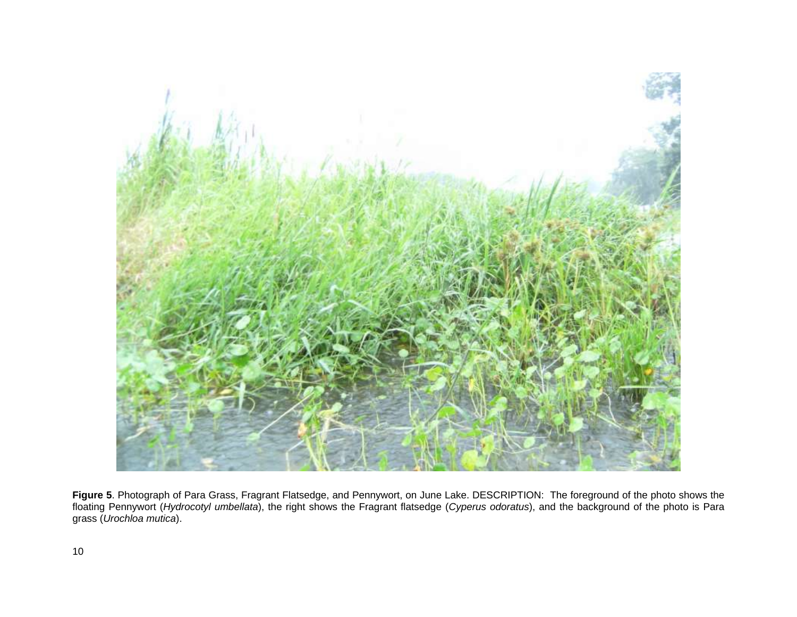

**Figure 5**. Photograph of Para Grass, Fragrant Flatsedge, and Pennywort, on June Lake. DESCRIPTION: The foreground of the photo shows the floating Pennywort (*Hydrocotyl umbellata*), the right shows the Fragrant flatsedge (*Cyperus odoratus*), and the background of the photo is Para grass (*Urochloa mutica*).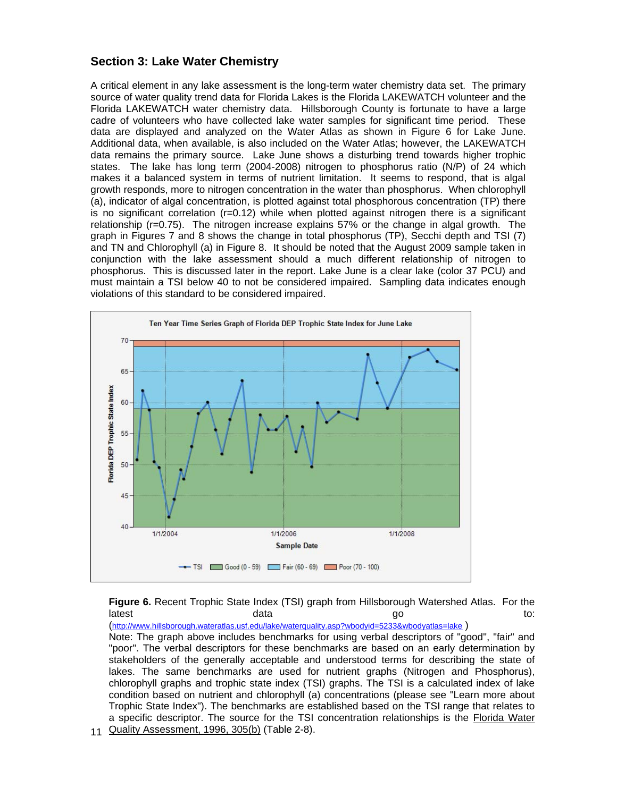#### **Section 3: Lake Water Chemistry**

A critical element in any lake assessment is the long-term water chemistry data set. The primary source of water quality trend data for Florida Lakes is the Florida LAKEWATCH volunteer and the Florida LAKEWATCH water chemistry data. Hillsborough County is fortunate to have a large cadre of volunteers who have collected lake water samples for significant time period. These data are displayed and analyzed on the Water Atlas as shown in Figure 6 for Lake June. Additional data, when available, is also included on the Water Atlas; however, the LAKEWATCH data remains the primary source. Lake June shows a disturbing trend towards higher trophic states. The lake has long term (2004-2008) nitrogen to phosphorus ratio (N/P) of 24 which makes it a balanced system in terms of nutrient limitation. It seems to respond, that is algal growth responds, more to nitrogen concentration in the water than phosphorus. When chlorophyll (a), indicator of algal concentration, is plotted against total phosphorous concentration (TP) there is no significant correlation (r=0.12) while when plotted against nitrogen there is a significant relationship (r=0.75). The nitrogen increase explains 57% or the change in algal growth. The graph in Figures 7 and 8 shows the change in total phosphorus (TP), Secchi depth and TSI (7) and TN and Chlorophyll (a) in Figure 8. It should be noted that the August 2009 sample taken in conjunction with the lake assessment should a much different relationship of nitrogen to phosphorus. This is discussed later in the report. Lake June is a clear lake (color 37 PCU) and must maintain a TSI below 40 to not be considered impaired. Sampling data indicates enough violations of this standard to be considered impaired.



**Figure 6.** Recent Trophic State Index (TSI) graph from Hillsborough Watershed Atlas. For the latest to: data data go to: do:

(<http://www.hillsborough.wateratlas.usf.edu/lake/waterquality.asp?wbodyid=5233&wbodyatlas=lake> ) Note: The graph above includes benchmarks for using verbal descriptors of "good", "fair" and "poor". The verbal descriptors for these benchmarks are based on an early determination by stakeholders of the generally acceptable and understood terms for describing the state of lakes. The same benchmarks are used for nutrient graphs (Nitrogen and Phosphorus), chlorophyll graphs and trophic state index (TSI) graphs. The TSI is a calculated index of lake condition based on nutrient and chlorophyll (a) concentrations (please see "Learn more about Trophic State Index"). The benchmarks are established based on the TSI range that relates to a specific descriptor. The source for the TSI concentration relationships is the Florida Water

11 Quality Assessment, 1996, 305(b) (Table 2-8).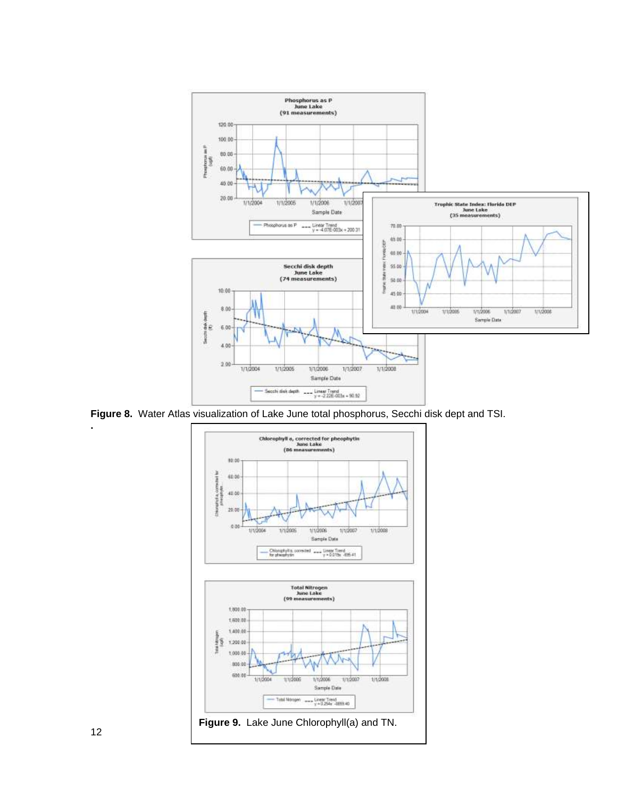

**Figure 8.** Water Atlas visualization of Lake June total phosphorus, Secchi disk dept and TSI.



**.**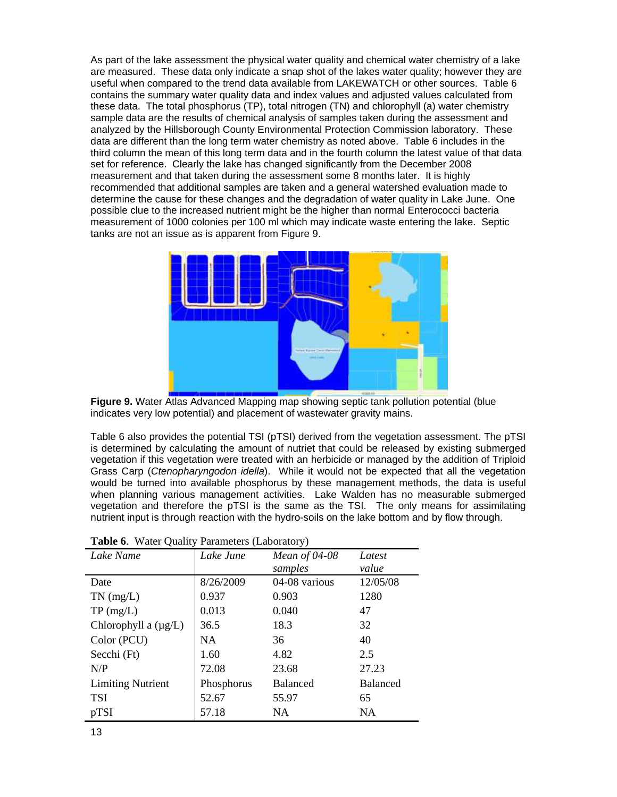As part of the lake assessment the physical water quality and chemical water chemistry of a lake are measured. These data only indicate a snap shot of the lakes water quality; however they are useful when compared to the trend data available from LAKEWATCH or other sources. Table 6 contains the summary water quality data and index values and adjusted values calculated from these data. The total phosphorus (TP), total nitrogen (TN) and chlorophyll (a) water chemistry sample data are the results of chemical analysis of samples taken during the assessment and analyzed by the Hillsborough County Environmental Protection Commission laboratory. These data are different than the long term water chemistry as noted above. Table 6 includes in the third column the mean of this long term data and in the fourth column the latest value of that data set for reference. Clearly the lake has changed significantly from the December 2008 measurement and that taken during the assessment some 8 months later. It is highly recommended that additional samples are taken and a general watershed evaluation made to determine the cause for these changes and the degradation of water quality in Lake June. One possible clue to the increased nutrient might be the higher than normal Enterococci bacteria measurement of 1000 colonies per 100 ml which may indicate waste entering the lake. Septic tanks are not an issue as is apparent from Figure 9.



**Figure 9.** Water Atlas Advanced Mapping map showing septic tank pollution potential (blue indicates very low potential) and placement of wastewater gravity mains.

Table 6 also provides the potential TSI (pTSI) derived from the vegetation assessment. The pTSI is determined by calculating the amount of nutriet that could be released by existing submerged vegetation if this vegetation were treated with an herbicide or managed by the addition of Triploid Grass Carp (*Ctenopharyngodon idella*). While it would not be expected that all the vegetation would be turned into available phosphorus by these management methods, the data is useful when planning various management activities. Lake Walden has no measurable submerged vegetation and therefore the pTSI is the same as the TSI. The only means for assimilating nutrient input is through reaction with the hydro-soils on the lake bottom and by flow through.

| Lake Name                 | Lake June  | Mean of 04-08   | Latest          |
|---------------------------|------------|-----------------|-----------------|
|                           |            | samples         | value           |
| Date                      | 8/26/2009  | 04-08 various   | 12/05/08        |
| $TN$ (mg/L)               | 0.937      | 0.903           | 1280            |
| TP(mg/L)                  | 0.013      | 0.040           | 47              |
| Chlorophyll a $(\mu g/L)$ | 36.5       | 18.3            | 32              |
| Color (PCU)               | NA.        | 36              | 40              |
| Secchi (Ft)               | 1.60       | 4.82            | 2.5             |
| N/P                       | 72.08      | 23.68           | 27.23           |
| <b>Limiting Nutrient</b>  | Phosphorus | <b>Balanced</b> | <b>Balanced</b> |
| <b>TSI</b>                | 52.67      | 55.97           | 65              |
| pTSI                      | 57.18      | NA.             | NA              |

|  |  | <b>Table 6.</b> Water Quality Parameters (Laboratory) |  |
|--|--|-------------------------------------------------------|--|
|  |  |                                                       |  |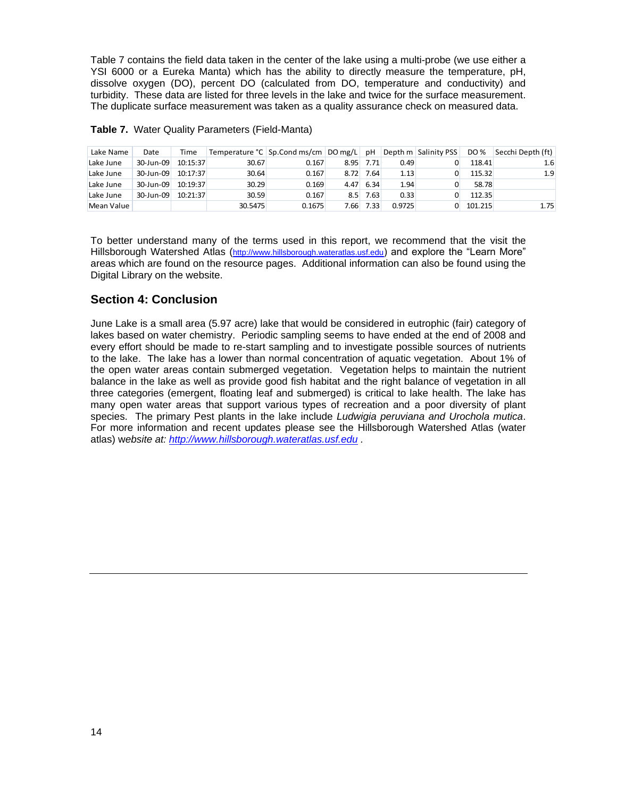Table 7 contains the field data taken in the center of the lake using a multi-probe (we use either a YSI 6000 or a Eureka Manta) which has the ability to directly measure the temperature, pH, dissolve oxygen (DO), percent DO (calculated from DO, temperature and conductivity) and turbidity. These data are listed for three levels in the lake and twice for the surface measurement. The duplicate surface measurement was taken as a quality assurance check on measured data.

| Lake Name  | Date      | Time     | Temperature °C   Sp.Cond ms/cm   DO mg/L   pH |        |      |      |        | Depth m Salinity PSS | DO %    | Secchi Depth (ft) |
|------------|-----------|----------|-----------------------------------------------|--------|------|------|--------|----------------------|---------|-------------------|
| Lake June  | 30-Jun-09 | 10:15:37 | 30.67                                         | 0.167  | 8.95 | 7.71 | 0.49   |                      | 118.41  | 1.6               |
| Lake June  | 30-Jun-09 | 10:17:37 | 30.64                                         | 0.167  | 8.72 | 7.64 | 1.13   |                      | 115.32  | 1.9               |
| Lake June  | 30-Jun-09 | 10:19:37 | 30.29                                         | 0.169  | 4.47 | 6.34 | 1.94   |                      | 58.78   |                   |
| Lake June  | 30-Jun-09 | 10:21:37 | 30.59                                         | 0.167  | 8.5  | 7.63 | 0.33   |                      | 112.35  |                   |
| Mean Value |           |          | 30.5475                                       | 0.1675 | 7.66 | 7.33 | 0.9725 |                      | 101.215 | 1.75              |

| Table 7. Water Quality Parameters (Field-Manta) |  |  |  |  |
|-------------------------------------------------|--|--|--|--|
|-------------------------------------------------|--|--|--|--|

To better understand many of the terms used in this report, we recommend that the visit the Hillsborough Watershed Atlas ([http://www.hillsborough.wateratlas.usf.edu](http://www.hillsborough.wateratlas.usf.edu/)) and explore the "Learn More" areas which are found on the resource pages. Additional information can also be found using the Digital Library on the website.

#### **Section 4: Conclusion**

June Lake is a small area (5.97 acre) lake that would be considered in eutrophic (fair) category of lakes based on water chemistry. Periodic sampling seems to have ended at the end of 2008 and every effort should be made to re-start sampling and to investigate possible sources of nutrients to the lake. The lake has a lower than normal concentration of aquatic vegetation. About 1% of the open water areas contain submerged vegetation. Vegetation helps to maintain the nutrient balance in the lake as well as provide good fish habitat and the right balance of vegetation in all three categories (emergent, floating leaf and submerged) is critical to lake health. The lake has many open water areas that support various types of recreation and a poor diversity of plant species. The primary Pest plants in the lake include *Ludwigia peruviana and Urochola mutica*. For more information and recent updates please see the Hillsborough Watershed Atlas (water atlas) w*ebsite at: [http://www.hillsborough.wateratlas.usf.edu](http://www.hillsborough.wateratlas.usf.edu/) .*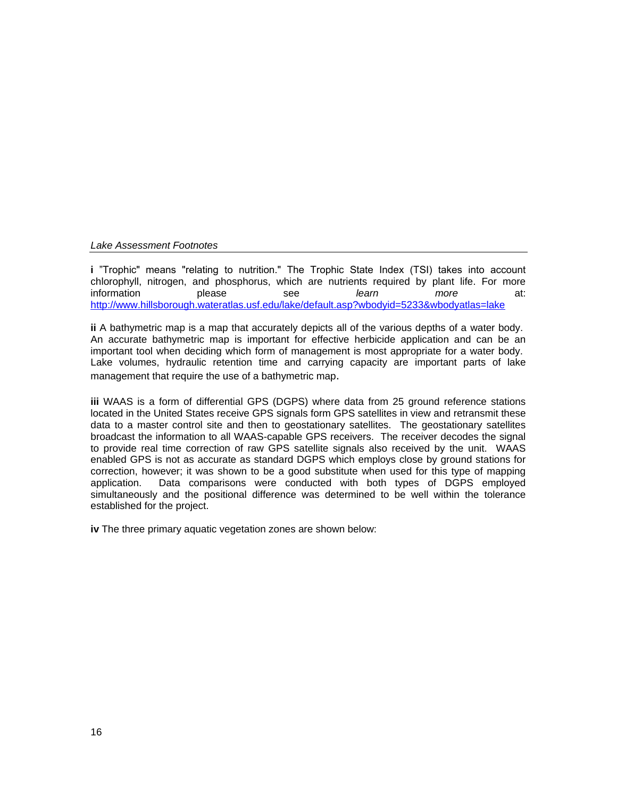#### *Lake Assessment Footnotes*

**i** "Trophic" means "relating to nutrition." The Trophic State Index (TSI) takes into account chlorophyll, nitrogen, and phosphorus, which are nutrients required by plant life. For more information please see *learn more* at: <http://www.hillsborough.wateratlas.usf.edu/lake/default.asp?wbodyid=5233&wbodyatlas=lake>

**ii** A bathymetric map is a map that accurately depicts all of the various depths of a water body. An accurate bathymetric map is important for effective herbicide application and can be an important tool when deciding which form of management is most appropriate for a water body. Lake volumes, hydraulic retention time and carrying capacity are important parts of lake management that require the use of a bathymetric map.

**iii** WAAS is a form of differential GPS (DGPS) where data from 25 ground reference stations located in the United States receive GPS signals form GPS satellites in view and retransmit these data to a master control site and then to geostationary satellites. The geostationary satellites broadcast the information to all WAAS-capable GPS receivers. The receiver decodes the signal to provide real time correction of raw GPS satellite signals also received by the unit. WAAS enabled GPS is not as accurate as standard DGPS which employs close by ground stations for correction, however; it was shown to be a good substitute when used for this type of mapping application. Data comparisons were conducted with both types of DGPS employed simultaneously and the positional difference was determined to be well within the tolerance established for the project.

**iv** The three primary aquatic vegetation zones are shown below: